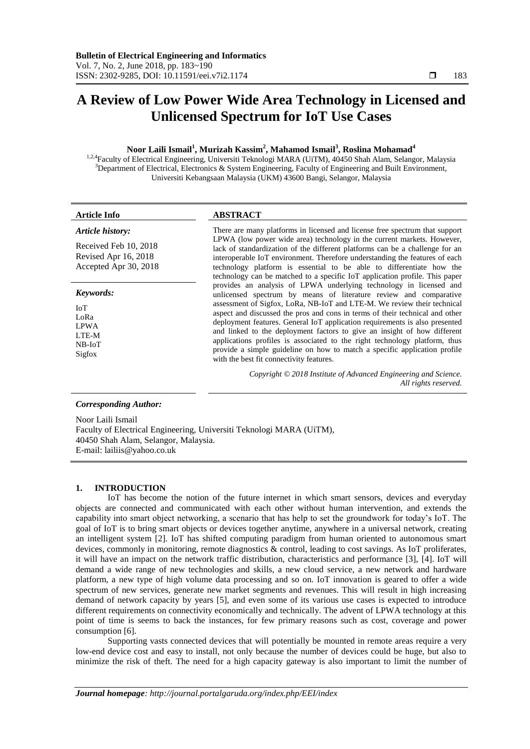# **A Review of Low Power Wide Area Technology in Licensed and Unlicensed Spectrum for IoT Use Cases**

# **Noor Laili Ismail<sup>1</sup> , Murizah Kassim<sup>2</sup> , Mahamod Ismail<sup>3</sup> , Roslina Mohamad<sup>4</sup>**

<sup>1,2,4</sup>Faculty of Electrical Engineering, Universiti Teknologi MARA (UiTM), 40450 Shah Alam, Selangor, Malaysia  $3$ Department of Electrical, Electronics & System Engineering, Faculty of Engineering and Built Environment, Universiti Kebangsaan Malaysia (UKM) 43600 Bangi, Selangor, Malaysia

### *Article history:*

Received Feb 10, 2018 Revised Apr 16, 2018 Accepted Apr 30, 2018

## *Keywords:*

IoT LoRa LPWA LTE-M NB-IoT Sigfox

# **Article Info ABSTRACT**

There are many platforms in licensed and license free spectrum that support LPWA (low power wide area) technology in the current markets. However, lack of standardization of the different platforms can be a challenge for an interoperable IoT environment. Therefore understanding the features of each technology platform is essential to be able to differentiate how the technology can be matched to a specific IoT application profile. This paper provides an analysis of LPWA underlying technology in licensed and unlicensed spectrum by means of literature review and comparative assessment of Sigfox, LoRa, NB-IoT and LTE-M. We review their technical aspect and discussed the pros and cons in terms of their technical and other deployment features. General IoT application requirements is also presented and linked to the deployment factors to give an insight of how different applications profiles is associated to the right technology platform, thus provide a simple guideline on how to match a specific application profile with the best fit connectivity features.

> *Copyright © 2018 Institute of Advanced Engineering and Science. All rights reserved.*

### *Corresponding Author:*

Noor Laili Ismail Faculty of Electrical Engineering, Universiti Teknologi MARA (UiTM), 40450 Shah Alam, Selangor, Malaysia. E-mail: lailiis@yahoo.co.uk

### **1. INTRODUCTION**

IoT has become the notion of the future internet in which smart sensors, devices and everyday objects are connected and communicated with each other without human intervention, and extends the capability into smart object networking, a scenario that has help to set the groundwork for today's IoT. The goal of IoT is to bring smart objects or devices together anytime, anywhere in a universal network, creating an intelligent system [2]. IoT has shifted computing paradigm from human oriented to autonomous smart devices, commonly in monitoring, remote diagnostics & control, leading to cost savings. As IoT proliferates, it will have an impact on the network traffic distribution, characteristics and performance [3], [4]. IoT will demand a wide range of new technologies and skills, a new cloud service, a new network and hardware platform, a new type of high volume data processing and so on. IoT innovation is geared to offer a wide spectrum of new services, generate new market segments and revenues. This will result in high increasing demand of network capacity by years [5], and even some of its various use cases is expected to introduce different requirements on connectivity economically and technically. The advent of LPWA technology at this point of time is seems to back the instances, for few primary reasons such as cost, coverage and power consumption [6].

Supporting vasts connected devices that will potentially be mounted in remote areas require a very low-end device cost and easy to install, not only because the number of devices could be huge, but also to minimize the risk of theft. The need for a high capacity gateway is also important to limit the number of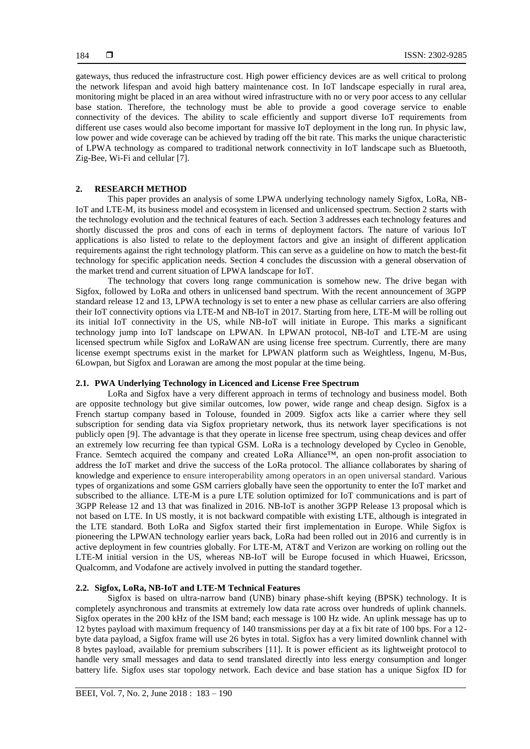gateways, thus reduced the infrastructure cost. High power efficiency devices are as well critical to prolong the network lifespan and avoid high battery maintenance cost. In IoT landscape especially in rural area, monitoring might be placed in an area without wired infrastructure with no or very poor access to any cellular base station. Therefore, the technology must be able to provide a good coverage service to enable connectivity of the devices. The ability to scale efficiently and support diverse IoT requirements from different use cases would also become important for massive IoT deployment in the long run. In physic law, low power and wide coverage can be achieved by trading off the bit rate. This marks the unique characteristic of LPWA technology as compared to traditional network connectivity in IoT landscape such as Bluetooth, Zig-Bee, Wi-Fi and cellular [7].

# **2. RESEARCH METHOD**

This paper provides an analysis of some LPWA underlying technology namely Sigfox, LoRa, NB-IoT and LTE-M, its business model and ecosystem in licensed and unlicensed spectrum. Section 2 starts with the technology evolution and the technical features of each. Section 3 addresses each technology features and shortly discussed the pros and cons of each in terms of deployment factors. The nature of various IoT applications is also listed to relate to the deployment factors and give an insight of different application requirements against the right technology platform. This can serve as a guideline on how to match the best-fit technology for specific application needs. Section 4 concludes the discussion with a general observation of the market trend and current situation of LPWA landscape for IoT.

The technology that covers long range communication is somehow new. The drive began with Sigfox, followed by LoRa and others in unlicensed band spectrum. With the recent announcement of 3GPP standard release 12 and 13, LPWA technology is set to enter a new phase as cellular carriers are also offering their IoT connectivity options via LTE-M and NB-IoT in 2017. Starting from here, LTE-M will be rolling out its initial IoT connectivity in the US, while NB-IoT will initiate in Europe. This marks a significant technology jump into IoT landscape on LPWAN. In LPWAN protocol, NB-IoT and LTE-M are using licensed spectrum while Sigfox and LoRaWAN are using license free spectrum. Currently, there are many license exempt spectrums exist in the market for LPWAN platform such as Weightless, Ingenu, M-Bus, 6Lowpan, but Sigfox and Lorawan are among the most popular at the time being.

# **2.1. PWA Underlying Technology in Licenced and License Free Spectrum**

LoRa and Sigfox have a very different approach in terms of technology and business model. Both are opposite technology but give similar outcomes, low power, wide range and cheap design. Sigfox is a French startup company based in Tolouse, founded in 2009. Sigfox acts like a carrier where they sell subscription for sending data via Sigfox proprietary network, thus its network layer specifications is not publicly open [9]. The advantage is that they operate in license free spectrum, using cheap devices and offer an extremely low recurring fee than typical GSM. LoRa is a technology developed by Cycleo in Genoble, France. Semtech acquired the company and created LoRa Alliance™, an open non-profit association to address the IoT market and drive the success of the LoRa protocol. The alliance collaborates by sharing of knowledge and experience to ensure interoperability among operators in an open universal standard. Various types of organizations and some GSM carriers globally have seen the opportunity to enter the IoT market and subscribed to the alliance. LTE-M is a pure LTE solution optimized for IoT communications and is part of 3GPP Release 12 and 13 that was finalized in 2016. NB-IoT is another 3GPP Release 13 proposal which is not based on LTE. In US mostly, it is not backward compatible with existing LTE, although is integrated in the LTE standard. Both LoRa and Sigfox started their first implementation in Europe. While Sigfox is pioneering the LPWAN technology earlier years back, LoRa had been rolled out in 2016 and currently is in active deployment in few countries globally. For LTE-M, AT&T and Verizon are working on rolling out the LTE-M initial version in the US, whereas NB-IoT will be Europe focused in which Huawei, Ericsson, Qualcomm, and Vodafone are actively involved in putting the standard together.

# **2.2. Sigfox, LoRa, NB-IoT and LTE-M Technical Features**

Sigfox is based on ultra-narrow band (UNB) binary phase-shift keying (BPSK) technology. It is completely asynchronous and transmits at extremely low data rate across over hundreds of uplink channels. Sigfox operates in the 200 kHz of the ISM band; each message is 100 Hz wide. An uplink message has up to 12 bytes payload with maximum frequency of 140 transmissions per day at a fix bit rate of 100 bps. For a 12 byte data payload, a Sigfox frame will use 26 bytes in total. Sigfox has a very limited downlink channel with 8 bytes payload, available for premium subscribers [11]. It is power efficient as its lightweight protocol to handle very small messages and data to send translated directly into less energy consumption and longer battery life. Sigfox uses star topology network. Each device and base station has a unique Sigfox ID for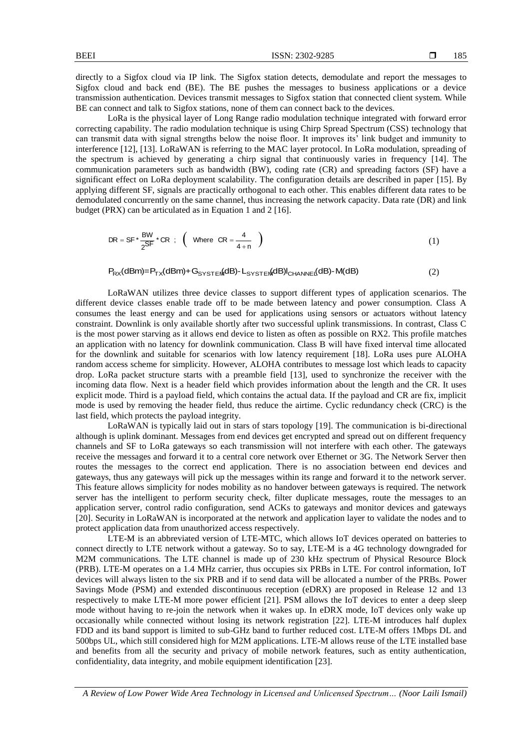directly to a Sigfox cloud via IP link. The Sigfox station detects, demodulate and report the messages to Sigfox cloud and back end (BE). The BE pushes the messages to business applications or a device transmission authentication. Devices transmit messages to Sigfox station that connected client system. While BE can connect and talk to Sigfox stations, none of them can connect back to the devices.

LoRa is the physical layer of Long Range radio modulation technique integrated with forward error correcting capability. The radio modulation technique is using Chirp Spread Spectrum (CSS) technology that can transmit data with signal strengths below the noise floor. It improves its' link budget and immunity to interference [12], [13]. LoRaWAN is referring to the MAC layer protocol. In LoRa modulation, spreading of the spectrum is achieved by generating a chirp signal that continuously varies in frequency [14]. The communication parameters such as bandwidth (BW), coding rate (CR) and spreading factors (SF) have a significant effect on LoRa deployment scalability. The configuration details are described in paper [15]. By applying different SF, signals are practically orthogonal to each other. This enables different data rates to be demodulated concurrently on the same channel, thus increasing the network capacity. Data rate (DR) and link budget (PRX) can be articulated as in Equation 1 and 2 [16].

$$
DR = SF \times \frac{BW}{2} \times CR ; \quad (Where \; CR = \frac{4}{4+n})
$$
 (1)

$$
P_{RX}(dBm) = P_{TX}(dBm) + G_{S^{YST}E}MdB) - L_{S^{YST}E}MdB)I_{CHANNEI}(dB) - M(dB)
$$
\n
$$
(2)
$$

LoRaWAN utilizes three device classes to support different types of application scenarios. The different device classes enable trade off to be made between latency and power consumption. Class A consumes the least energy and can be used for applications using sensors or actuators without latency constraint. Downlink is only available shortly after two successful uplink transmissions. In contrast, Class C is the most power starving as it allows end device to listen as often as possible on RX2. This profile matches an application with no latency for downlink communication. Class B will have fixed interval time allocated for the downlink and suitable for scenarios with low latency requirement [18]. LoRa uses pure ALOHA random access scheme for simplicity. However, ALOHA contributes to message lost which leads to capacity drop. LoRa packet structure starts with a preamble field [13], used to synchronize the receiver with the incoming data flow. Next is a header field which provides information about the length and the CR. It uses explicit mode. Third is a payload field, which contains the actual data. If the payload and CR are fix, implicit mode is used by removing the header field, thus reduce the airtime. Cyclic redundancy check (CRC) is the last field, which protects the payload integrity.

LoRaWAN is typically laid out in stars of stars topology [19]. The communication is bi-directional although is uplink dominant. Messages from end devices get encrypted and spread out on different frequency channels and SF to LoRa gateways so each transmission will not interfere with each other. The gateways receive the messages and forward it to a central core network over Ethernet or 3G. The Network Server then routes the messages to the correct end application. There is no association between end devices and gateways, thus any gateways will pick up the messages within its range and forward it to the network server. This feature allows simplicity for nodes mobility as no handover between gateways is required. The network server has the intelligent to perform security check, filter duplicate messages, route the messages to an application server, control radio configuration, send ACKs to gateways and monitor devices and gateways [20]. Security in LoRaWAN is incorporated at the network and application layer to validate the nodes and to protect application data from unauthorized access respectively.

LTE-M is an abbreviated version of LTE-MTC, which allows IoT devices operated on batteries to connect directly to LTE network without a gateway. So to say, LTE-M is a 4G technology downgraded for M2M communications. The LTE channel is made up of 230 kHz spectrum of Physical Resource Block (PRB). LTE-M operates on a 1.4 MHz carrier, thus occupies six PRBs in LTE. For control information, IoT devices will always listen to the six PRB and if to send data will be allocated a number of the PRBs. Power Savings Mode (PSM) and extended discontinuous reception (eDRX) are proposed in Release 12 and 13 respectively to make LTE-M more power efficient [21]. PSM allows the IoT devices to enter a deep sleep mode without having to re-join the network when it wakes up. In eDRX mode, IoT devices only wake up occasionally while connected without losing its network registration [22]. LTE-M introduces half duplex FDD and its band support is limited to sub-GHz band to further reduced cost. LTE-M offers 1Mbps DL and 500bps UL, which still considered high for M2M applications. LTE-M allows reuse of the LTE installed base and benefits from all the security and privacy of mobile network features, such as entity authentication, confidentiality, data integrity, and mobile equipment identification [23].

*A Review of Low Power Wide Area Technology in Licensed and Unlicensed Spectrum… (Noor Laili Ismail)*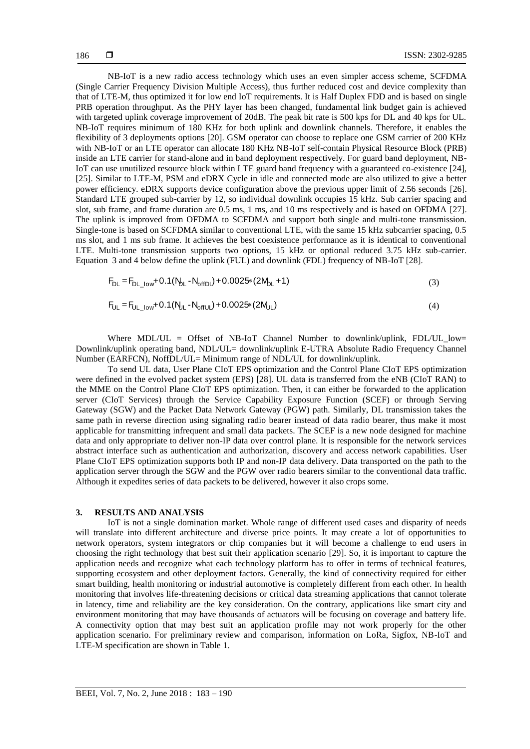NB-IoT is a new radio access technology which uses an even simpler access scheme, SCFDMA (Single Carrier Frequency Division Multiple Access), thus further reduced cost and device complexity than that of LTE-M, thus optimized it for low end IoT requirements. It is Half Duplex FDD and is based on single PRB operation throughput. As the PHY layer has been changed, fundamental link budget gain is achieved with targeted uplink coverage improvement of 20dB. The peak bit rate is 500 kps for DL and 40 kps for UL. NB-IoT requires minimum of 180 KHz for both uplink and downlink channels. Therefore, it enables the flexibility of 3 deployments options [20]. GSM operator can choose to replace one GSM carrier of 200 KHz with NB-IoT or an LTE operator can allocate 180 KHz NB-IoT self-contain Physical Resource Block (PRB) inside an LTE carrier for stand-alone and in band deployment respectively. For guard band deployment, NB-IoT can use unutilized resource block within LTE guard band frequency with a guaranteed co-existence [24], [25]. Similar to LTE-M, PSM and eDRX Cycle in idle and connected mode are also utilized to give a better power efficiency. eDRX supports device configuration above the previous upper limit of 2.56 seconds [26]. Standard LTE grouped sub-carrier by 12, so individual downlink occupies 15 kHz. Sub carrier spacing and slot, sub frame, and frame duration are 0.5 ms, 1 ms, and 10 ms respectively and is based on OFDMA [27]. The uplink is improved from OFDMA to SCFDMA and support both single and multi-tone transmission. Single-tone is based on SCFDMA similar to conventional LTE, with the same 15 kHz subcarrier spacing, 0.5 ms slot, and 1 ms sub frame. It achieves the best coexistence performance as it is identical to conventional LTE. Multi-tone transmission supports two options, 15 kHz or optional reduced 3.75 kHz sub-carrier. Equation 3 and 4 below define the uplink (FUL) and downlink (FDL) frequency of NB-IoT [28].

$$
F_{DL} = F_{DL\_low} + 0.1(N_{DL} - N_{offDL}) + 0.0025*(2M_{DL} + 1)
$$
\n(3)

$$
F_{UL} = F_{UL\_low} + 0.1(N_{UL} - N_{offUL}) + 0.0025*(2M_{UL})
$$
\n(4)

Where MDL/UL = Offset of NB-IoT Channel Number to downlink/uplink, FDL/UL\_low= Downlink/uplink operating band, NDL/UL= downlink/uplink E-UTRA Absolute Radio Frequency Channel Number (EARFCN), NoffDL/UL= Minimum range of NDL/UL for downlink/uplink.

To send UL data, User Plane CIoT EPS optimization and the Control Plane CIoT EPS optimization were defined in the evolved packet system (EPS) [28]. UL data is transferred from the eNB (CIoT RAN) to the MME on the Control Plane CIoT EPS optimization. Then, it can either be forwarded to the application server (CIoT Services) through the Service Capability Exposure Function (SCEF) or through Serving Gateway (SGW) and the Packet Data Network Gateway (PGW) path. Similarly, DL transmission takes the same path in reverse direction using signaling radio bearer instead of data radio bearer, thus make it most applicable for transmitting infrequent and small data packets. The SCEF is a new node designed for machine data and only appropriate to deliver non-IP data over control plane. It is responsible for the network services abstract interface such as authentication and authorization, discovery and access network capabilities. User Plane CIoT EPS optimization supports both IP and non-IP data delivery. Data transported on the path to the application server through the SGW and the PGW over radio bearers similar to the conventional data traffic. Although it expedites series of data packets to be delivered, however it also crops some.

#### **3. RESULTS AND ANALYSIS**

IoT is not a single domination market. Whole range of different used cases and disparity of needs will translate into different architecture and diverse price points. It may create a lot of opportunities to network operators, system integrators or chip companies but it will become a challenge to end users in choosing the right technology that best suit their application scenario [29]. So, it is important to capture the application needs and recognize what each technology platform has to offer in terms of technical features, supporting ecosystem and other deployment factors. Generally, the kind of connectivity required for either smart building, health monitoring or industrial automotive is completely different from each other. In health monitoring that involves life-threatening decisions or critical data streaming applications that cannot tolerate in latency, time and reliability are the key consideration. On the contrary, applications like smart city and environment monitoring that may have thousands of actuators will be focusing on coverage and battery life. A connectivity option that may best suit an application profile may not work properly for the other application scenario. For preliminary review and comparison, information on LoRa, Sigfox, NB-IoT and LTE-M specification are shown in Table 1.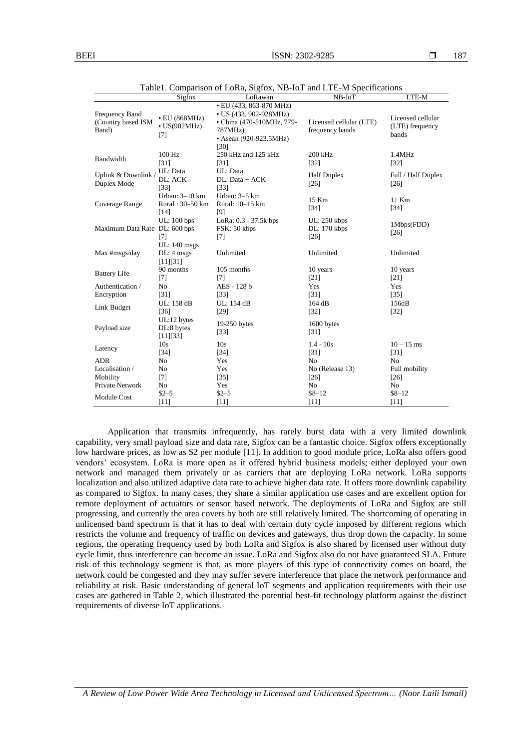|                                               | Sigfox                                           | o<br>LoRawan                                                                                     | $NB$ - $IoT$                               | LTE-M                                         |
|-----------------------------------------------|--------------------------------------------------|--------------------------------------------------------------------------------------------------|--------------------------------------------|-----------------------------------------------|
|                                               |                                                  | • EU (433, 863-870 MHz)                                                                          |                                            |                                               |
| Frequency Band<br>(Country based ISM<br>Band) | $\cdot$ EU (868MHz)<br>$\cdot$ US(902MHz)<br>[7] | • US (433, 902-928MHz)<br>• China (470-510MHz, 779-<br>787MHz)<br>• Asean (920-923.5MHz)<br>[30] | Licensed cellular (LTE)<br>frequency bands | Licensed cellular<br>(LTE) frequency<br>bands |
| Bandwidth                                     | 100 Hz<br>$[31]$                                 | 250 kHz and 125 kHz<br>$[31]$                                                                    | 200 kHz<br>$[32]$                          | 1.4MHz<br>$\lceil 32 \rceil$                  |
| Uplink & Downlink<br>Duplex Mode              | UL: Data<br>DL: ACK<br>$[33]$                    | UL: Data<br>DL: Data + ACK<br>$[33]$                                                             | <b>Half Duplex</b><br>[26]                 | Full / Half Duplex<br>$[26]$                  |
| Coverage Range                                | Urban: 3-10 km<br>Rural: 30-50 km<br>$[14]$      | Urban: 3-5 km<br>Rural: 10-15 km<br>[9]                                                          | 15 Km<br>$[34]$                            | 11 Km<br>$[34]$                               |
| Maximum Data Rate DL: 600 bps                 | UL: 100 bps<br>[7]                               | LoRa: 0.3 - 37.5k bps<br>FSK: 50 kbps<br>$[7]$                                                   | UL: 250 kbps<br>DL: 170 kbps<br>$[26]$     | 1Mbps(FDD)<br>[26]                            |
| Max #msgs/day                                 | UL: 140 msgs<br>$DL: 4$ msgs<br>[11][31]         | Unlimited                                                                                        | Unlimited                                  | Unlimited                                     |
| <b>Battery Life</b>                           | 90 months<br>$[7]$                               | 105 months<br>[7]                                                                                | 10 years<br>$[21]$                         | 10 years<br>[21]                              |
| Authentication /                              | N <sub>o</sub>                                   | AES - 128 b                                                                                      | Yes                                        | Yes                                           |
| Encryption                                    | [31]                                             | $[33]$                                                                                           | $[31]$                                     | $[35]$                                        |
| Link Budget                                   | $[36]$                                           | $[29]$                                                                                           | $[32]$                                     | $[32]$                                        |
| Payload size                                  | DL:8 bytes<br>[11][33]                           | 19-250 bytes<br>$[33]$                                                                           | 1600 bytes<br>[31]                         |                                               |
| Latency                                       | 10 <sub>s</sub><br>$[34]$                        | 10 <sub>s</sub><br>$[34]$                                                                        | $1.4 - 10s$                                | $10 - 15$ ms<br>$[31]$                        |
| <b>ADR</b>                                    | N <sub>o</sub>                                   | Yes                                                                                              | N <sub>o</sub>                             | N <sub>o</sub>                                |
| Localisation /                                | No                                               | Yes                                                                                              | No (Release 13)                            | Full mobility                                 |
| Mobility                                      | $[7]$                                            | $[35]$                                                                                           | $[26]$                                     | $[26]$                                        |
| Private Network                               | No                                               | Yes                                                                                              | No                                         | No                                            |
| <b>Module Cost</b>                            | $$2 - 5$                                         | $$2 - 5$                                                                                         | $$8 - 12$                                  | $$8 - 12$                                     |
|                                               | UL: 158 dB<br>UL:12 bytes<br>$[11]$              | UL: 154 dB<br>[11]                                                                               | 164 dB<br>$[31]$<br>[11]                   | 156dB<br>$[11]$                               |

Table1. Comparison of LoRa, Sigfox, NB-IoT and LTE-M Specifications

Application that transmits infrequently, has rarely burst data with a very limited downlink capability, very small payload size and data rate, Sigfox can be a fantastic choice. Sigfox offers exceptionally low hardware prices, as low as \$2 per module [11]. In addition to good module price, LoRa also offers good vendors' ecosystem. LoRa is more open as it offered hybrid business models; either deployed your own network and managed them privately or as carriers that are deploying LoRa network. LoRa supports localization and also utilized adaptive data rate to achieve higher data rate. It offers more downlink capability as compared to Sigfox. In many cases, they share a similar application use cases and are excellent option for remote deployment of actuators or sensor based network. The deployments of LoRa and Sigfox are still progressing, and currently the area covers by both are still relatively limited. The shortcoming of operating in unlicensed band spectrum is that it has to deal with certain duty cycle imposed by different regions which restricts the volume and frequency of traffic on devices and gateways, thus drop down the capacity. In some regions, the operating frequency used by both LoRa and Sigfox is also shared by licensed user without duty cycle limit, thus interference can become an issue. LoRa and Sigfox also do not have guaranteed SLA. Future risk of this technology segment is that, as more players of this type of connectivity comes on board, the network could be congested and they may suffer severe interference that place the network performance and reliability at risk. Basic understanding of general IoT segments and application requirements with their use cases are gathered in Table 2, which illustrated the potential best-fit technology platform against the distinct requirements of diverse IoT applications.

*A Review of Low Power Wide Area Technology in Licensed and Unlicensed Spectrum… (Noor Laili Ismail)*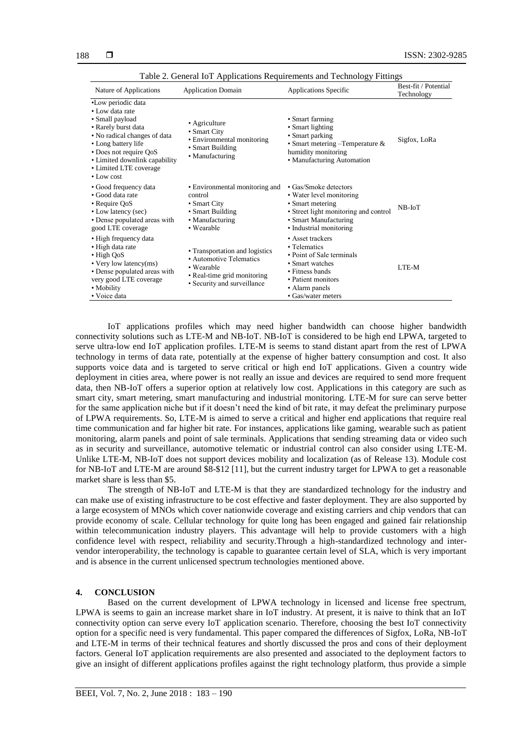| Nature of Applications                                                                                                                                                                                                                          | <b>Application Domain</b>                                                                                                                     | Applications Specific                                                                                                                                              | Best-fit / Potential<br>Technology |
|-------------------------------------------------------------------------------------------------------------------------------------------------------------------------------------------------------------------------------------------------|-----------------------------------------------------------------------------------------------------------------------------------------------|--------------------------------------------------------------------------------------------------------------------------------------------------------------------|------------------------------------|
| •Low periodic data<br>• Low data rate<br>• Small payload<br>• Rarely burst data<br>• No radical changes of data<br>• Long battery life<br>• Does not require QoS<br>• Limited downlink capability<br>• Limited LTE coverage<br>$\cdot$ Low cost | • Agriculture<br>• Smart City<br>• Environmental monitoring<br>• Smart Building<br>• Manufacturing                                            | • Smart farming<br>• Smart lighting<br>• Smart parking<br>• Smart metering $-$ Temperature &<br>humidity monitoring<br>• Manufacturing Automation                  | Sigfox, LoRa                       |
| • Good frequency data<br>• Good data rate<br>• Require QoS<br>• Low latency (sec)<br>• Dense populated areas with<br>good LTE coverage                                                                                                          | • Environmental monitoring and<br>control<br>• Smart City<br>• Smart Building<br>• Manufacturing<br>• Wearable                                | • Gas/Smoke detectors<br>• Water level monitoring<br>• Smart metering<br>• Street light monitoring and control<br>• Smart Manufacturing<br>• Industrial monitoring | $NB$ - $I$ o $T$                   |
| • High frequency data<br>• High data rate<br>$\cdot$ High QoS<br>• Very low latency(ms)<br>• Dense populated areas with<br>very good LTE coverage<br>• Mobility<br>• Voice data                                                                 | • Transportation and logistics<br>• Automotive Telematics<br>$\bullet$ Wearable<br>• Real-time grid monitoring<br>• Security and surveillance | • Asset trackers<br>• Telematics<br>• Point of Sale terminals<br>• Smart watches<br>• Fitness bands<br>• Patient monitors<br>• Alarm panels<br>• Gas/water meters  | LTE-M                              |

Table 2. General IoT Applications Requirements and Technology Fittings

IoT applications profiles which may need higher bandwidth can choose higher bandwidth connectivity solutions such as LTE-M and NB-IoT. NB-IoT is considered to be high end LPWA, targeted to serve ultra-low end IoT application profiles. LTE-M is seems to stand distant apart from the rest of LPWA technology in terms of data rate, potentially at the expense of higher battery consumption and cost. It also supports voice data and is targeted to serve critical or high end IoT applications. Given a country wide deployment in cities area, where power is not really an issue and devices are required to send more frequent data, then NB-IoT offers a superior option at relatively low cost. Applications in this category are such as smart city, smart metering, smart manufacturing and industrial monitoring. LTE-M for sure can serve better for the same application niche but if it doesn't need the kind of bit rate, it may defeat the preliminary purpose of LPWA requirements. So, LTE-M is aimed to serve a critical and higher end applications that require real time communication and far higher bit rate. For instances, applications like gaming, wearable such as patient monitoring, alarm panels and point of sale terminals. Applications that sending streaming data or video such as in security and surveillance, automotive telematic or industrial control can also consider using LTE-M. Unlike LTE-M, NB-IoT does not support devices mobility and localization (as of Release 13). Module cost for NB-IoT and LTE-M are around \$8-\$12 [11], but the current industry target for LPWA to get a reasonable market share is less than \$5.

The strength of NB-IoT and LTE-M is that they are standardized technology for the industry and can make use of existing infrastructure to be cost effective and faster deployment. They are also supported by a large ecosystem of MNOs which cover nationwide coverage and existing carriers and chip vendors that can provide economy of scale. Cellular technology for quite long has been engaged and gained fair relationship within telecommunication industry players. This advantage will help to provide customers with a high confidence level with respect, reliability and security.Through a high-standardized technology and intervendor interoperability, the technology is capable to guarantee certain level of SLA, which is very important and is absence in the current unlicensed spectrum technologies mentioned above.

# **4. CONCLUSION**

Based on the current development of LPWA technology in licensed and license free spectrum, LPWA is seems to gain an increase market share in IoT industry. At present, it is naive to think that an IoT connectivity option can serve every IoT application scenario. Therefore, choosing the best IoT connectivity option for a specific need is very fundamental. This paper compared the differences of Sigfox, LoRa, NB-IoT and LTE-M in terms of their technical features and shortly discussed the pros and cons of their deployment factors. General IoT application requirements are also presented and associated to the deployment factors to give an insight of different applications profiles against the right technology platform, thus provide a simple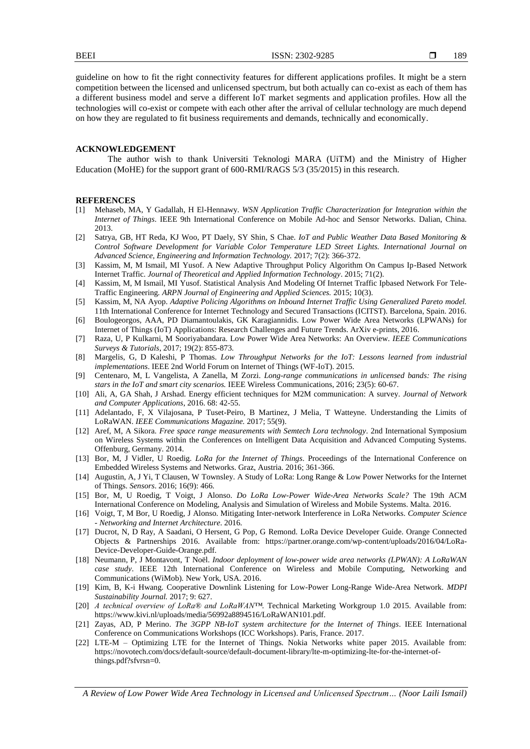189

guideline on how to fit the right connectivity features for different applications profiles. It might be a stern competition between the licensed and unlicensed spectrum, but both actually can co-exist as each of them has a different business model and serve a different IoT market segments and application profiles. How all the technologies will co-exist or compete with each other after the arrival of cellular technology are much depend on how they are regulated to fit business requirements and demands, technically and economically.

#### **ACKNOWLEDGEMENT**

The author wish to thank Universiti Teknologi MARA (UiTM) and the Ministry of Higher Education (MoHE) for the support grant of 600-RMI/RAGS 5/3 (35/2015) in this research.

#### **REFERENCES**

- [1] Mehaseb, MA, Y Gadallah, H El-Hennawy. *WSN Application Traffic Characterization for Integration within the Internet of Things*. IEEE 9th International Conference on Mobile Ad-hoc and Sensor Networks. Dalian, China. 2013.
- [2] Satrya, GB, HT Reda, KJ Woo, PT Daely, SY Shin, S Chae. *IoT and Public Weather Data Based Monitoring & Control Software Development for Variable Color Temperature LED Street Lights. International Journal on Advanced Science, Engineering and Information Technology.* 2017; 7(2): 366-372.
- [3] Kassim, M, M Ismail, MI Yusof. A New Adaptive Throughput Policy Algorithm On Campus Ip-Based Network Internet Traffic. *Journal of Theoretical and Applied Information Technology*. 2015; 71(2).
- [4] Kassim, M, M Ismail, MI Yusof. Statistical Analysis And Modeling Of Internet Traffic Ipbased Network For Tele-Traffic Engineering*. ARPN Journal of Engineering and Applied Sciences.* 2015; 10(3).
- [5] Kassim, M, NA Ayop. *Adaptive Policing Algorithms on Inbound Internet Traffic Using Generalized Pareto model.* 11th International Conference for Internet Technology and Secured Transactions (ICITST). Barcelona, Spain. 2016.
- [6] Boulogeorgos, AAA, PD Diamantoulakis, GK Karagiannidis. Low Power Wide Area Networks (LPWANs) for Internet of Things (IoT) Applications: Research Challenges and Future Trends. ArXiv e-prints, 2016.
- [7] Raza, U, P Kulkarni, M Sooriyabandara. Low Power Wide Area Networks: An Overview*. IEEE Communications Surveys & Tutorials*, 2017; 19(2): 855-873.
- [8] Margelis, G, D Kaleshi, P Thomas. *Low Throughput Networks for the IoT: Lessons learned from industrial implementations*. IEEE 2nd World Forum on Internet of Things (WF-IoT). 2015.
- [9] Centenaro, M, L Vangelista, A Zanella, M Zorzi. *Long-range communications in unlicensed bands: The rising stars in the IoT and smart city scenarios.* IEEE Wireless Communications, 2016; 23(5): 60-67.
- [10] Ali, A, GA Shah, J Arshad. Energy efficient techniques for M2M communication: A survey*. Journal of Network and Computer Applications*, 2016. 68: 42-55.
- [11] Adelantado, F, X Vilajosana, P Tuset-Peiro, B Martinez, J Melia, T Watteyne. Understanding the Limits of LoRaWAN. *IEEE Communications Magazine.* 2017; 55(9).
- [12] Aref, M, A Sikora. *Free space range measurements with Semtech Lora technology*. 2nd International Symposium on Wireless Systems within the Conferences on Intelligent Data Acquisition and Advanced Computing Systems. Offenburg, Germany. 2014.
- [13] Bor, M, J Vidler, U Roedig. *LoRa for the Internet of Things*. Proceedings of the International Conference on Embedded Wireless Systems and Networks. Graz, Austria. 2016; 361-366.
- [14] Augustin, A, J Yi, T Clausen, W Townsley. A Study of LoRa: Long Range & Low Power Networks for the Internet of Things. *Sensors*. 2016; 16(9): 466.
- [15] Bor, M, U Roedig, T Voigt, J Alonso. *Do LoRa Low-Power Wide-Area Networks Scale?* The 19th ACM International Conference on Modeling, Analysis and Simulation of Wireless and Mobile Systems. Malta. 2016.
- [16] Voigt, T, M Bor, U Roedig, J Alonso. Mitigating Inter-network Interference in LoRa Networks. *Computer Science - Networking and Internet Architecture*. 2016.
- [17] Ducrot, N, D Ray, A Saadani, O Hersent, G Pop, G Remond. LoRa Device Developer Guide. Orange Connected Objects & Partnerships 2016. Available from: https://partner.orange.com/wp-content/uploads/2016/04/LoRa-Device-Developer-Guide-Orange.pdf.
- [18] Neumann, P, J Montavont, T Noël. *Indoor deployment of low-power wide area networks (LPWAN): A LoRaWAN case study*. IEEE 12th International Conference on Wireless and Mobile Computing, Networking and Communications (WiMob). New York, USA. 2016.
- [19] Kim, B, K-i Hwang. Cooperative Downlink Listening for Low-Power Long-Range Wide-Area Network. *MDPI Sustainability Journal.* 2017; 9: 627.
- [20] *A technical overview of LoRa® and LoRaWAN™*. Technical Marketing Workgroup 1.0 2015. Available from: https://www.kivi.nl/uploads/media/56992a8894516/LoRaWAN101.pdf.
- [21] Zayas, AD, P Merino. *The 3GPP NB-IoT system architecture for the Internet of Things*. IEEE International Conference on Communications Workshops (ICC Workshops). Paris, France. 2017.
- [22] LTE-M Optimizing LTE for the Internet of Things. Nokia Networks white paper 2015. Available from: https://novotech.com/docs/default-source/default-document-library/lte-m-optimizing-lte-for-the-internet-ofthings.pdf?sfvrsn=0.

*A Review of Low Power Wide Area Technology in Licensed and Unlicensed Spectrum… (Noor Laili Ismail)*